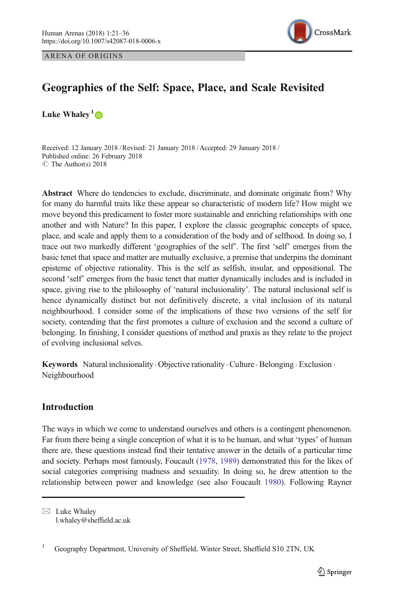ARENA OF ORIGINS



# Geographies of the Self: Space, Place, and Scale Revisited

Luke Whaley<sup>1</sup>

Received: 12 January 2018 /Revised: 21 January 2018 /Accepted: 29 January 2018 / Published online: 26 February 2018  $\odot$  The Author(s) 2018

Abstract Where do tendencies to exclude, discriminate, and dominate originate from? Why for many do harmful traits like these appear so characteristic of modern life? How might we move beyond this predicament to foster more sustainable and enriching relationships with one another and with Nature? In this paper, I explore the classic geographic concepts of space, place, and scale and apply them to a consideration of the body and of selfhood. In doing so, I trace out two markedly different 'geographies of the self'. The first 'self' emerges from the basic tenet that space and matter are mutually exclusive, a premise that underpins the dominant episteme of objective rationality. This is the self as selfish, insular, and oppositional. The second 'self' emerges from the basic tenet that matter dynamically includes and is included in space, giving rise to the philosophy of 'natural inclusionality'. The natural inclusional self is hence dynamically distinct but not definitively discrete, a vital inclusion of its natural neighbourhood. I consider some of the implications of these two versions of the self for society, contending that the first promotes a culture of exclusion and the second a culture of belonging. In finishing, I consider questions of method and praxis as they relate to the project of evolving inclusional selves.

Keywords Natural inclusionality. Objective rationality. Culture . Belonging . Exclusion . Neighbourhood

# Introduction

The ways in which we come to understand ourselves and others is a contingent phenomenon. Far from there being a single conception of what it is to be human, and what 'types' of human there are, these questions instead find their tentative answer in the details of a particular time and society. Perhaps most famously, Foucault ([1978](#page-14-0), [1989\)](#page-14-0) demonstrated this for the likes of social categories comprising madness and sexuality. In doing so, he drew attention to the relationship between power and knowledge (see also Foucault [1980\)](#page-14-0). Following Rayner

 $\boxtimes$  Luke Whaley [l.whaley@sheffield.ac.uk](mailto:l.whaley@sheffield.ac.uk)

<sup>&</sup>lt;sup>1</sup> Geography Department, University of Sheffield, Winter Street, Sheffield S10 2TN, UK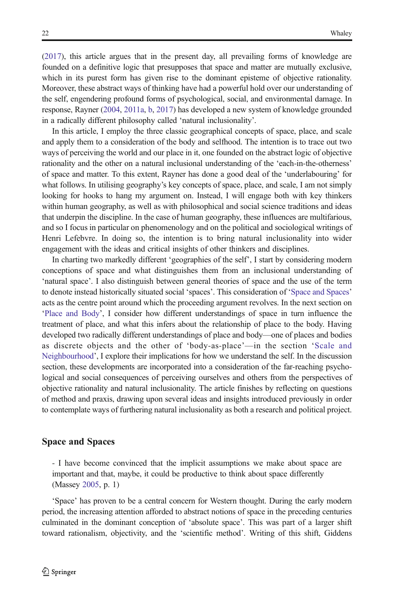<span id="page-1-0"></span>([2017](#page-15-0)), this article argues that in the present day, all prevailing forms of knowledge are founded on a definitive logic that presupposes that space and matter are mutually exclusive, which in its purest form has given rise to the dominant episteme of objective rationality. Moreover, these abstract ways of thinking have had a powerful hold over our understanding of the self, engendering profound forms of psychological, social, and environmental damage. In response, Rayner [\(2004,](#page-15-0) [2011a,](#page-15-0) [b,](#page-15-0) [2017](#page-15-0)) has developed a new system of knowledge grounded in a radically different philosophy called 'natural inclusionality'.

In this article, I employ the three classic geographical concepts of space, place, and scale and apply them to a consideration of the body and selfhood. The intention is to trace out two ways of perceiving the world and our place in it, one founded on the abstract logic of objective rationality and the other on a natural inclusional understanding of the 'each-in-the-otherness' of space and matter. To this extent, Rayner has done a good deal of the 'underlabouring' for what follows. In utilising geography's key concepts of space, place, and scale, I am not simply looking for hooks to hang my argument on. Instead, I will engage both with key thinkers within human geography, as well as with philosophical and social science traditions and ideas that underpin the discipline. In the case of human geography, these influences are multifarious, and so I focus in particular on phenomenology and on the political and sociological writings of Henri Lefebvre. In doing so, the intention is to bring natural inclusionality into wider engagement with the ideas and critical insights of other thinkers and disciplines.

In charting two markedly different 'geographies of the self', I start by considering modern conceptions of space and what distinguishes them from an inclusional understanding of 'natural space'. I also distinguish between general theories of space and the use of the term to denote instead historically situated social 'spaces'. This consideration of 'Space and Spaces' acts as the centre point around which the proceeding argument revolves. In the next section on '[Place and Body](#page-3-0)', I consider how different understandings of space in turn influence the treatment of place, and what this infers about the relationship of place to the body. Having developed two radically different understandings of place and body—one of places and bodies as discrete objects and the other of 'body-as-place'—in the section '[Scale and](#page-6-0) [Neighbourhood](#page-6-0)', I explore their implications for how we understand the self. In the discussion section, these developments are incorporated into a consideration of the far-reaching psychological and social consequences of perceiving ourselves and others from the perspectives of objective rationality and natural inclusionality. The article finishes by reflecting on questions of method and praxis, drawing upon several ideas and insights introduced previously in order to contemplate ways of furthering natural inclusionality as both a research and political project.

#### Space and Spaces

- I have become convinced that the implicit assumptions we make about space are important and that, maybe, it could be productive to think about space differently (Massey [2005](#page-15-0), p. 1)

'Space' has proven to be a central concern for Western thought. During the early modern period, the increasing attention afforded to abstract notions of space in the preceding centuries culminated in the dominant conception of 'absolute space'. This was part of a larger shift toward rationalism, objectivity, and the 'scientific method'. Writing of this shift, Giddens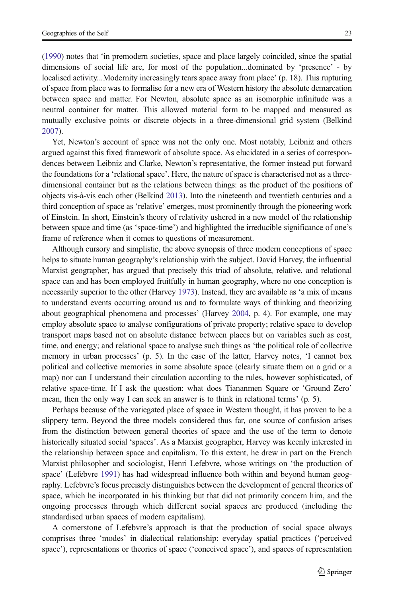([1990](#page-14-0)) notes that 'in premodern societies, space and place largely coincided, since the spatial dimensions of social life are, for most of the population...dominated by 'presence' - by localised activity...Modernity increasingly tears space away from place' (p. 18). This rupturing of space from place was to formalise for a new era of Western history the absolute demarcation between space and matter. For Newton, absolute space as an isomorphic infinitude was a neutral container for matter. This allowed material form to be mapped and measured as mutually exclusive points or discrete objects in a three-dimensional grid system (Belkind [2007](#page-14-0)).

Yet, Newton's account of space was not the only one. Most notably, Leibniz and others argued against this fixed framework of absolute space. As elucidated in a series of correspondences between Leibniz and Clarke, Newton's representative, the former instead put forward the foundations for a 'relational space'. Here, the nature of space is characterised not as a threedimensional container but as the relations between things: as the product of the positions of objects vis-à-vis each other (Belkind [2013\)](#page-14-0). Into the nineteenth and twentieth centuries and a third conception of space as 'relative' emerges, most prominently through the pioneering work of Einstein. In short, Einstein's theory of relativity ushered in a new model of the relationship between space and time (as 'space-time') and highlighted the irreducible significance of one's frame of reference when it comes to questions of measurement.

Although cursory and simplistic, the above synopsis of three modern conceptions of space helps to situate human geography's relationship with the subject. David Harvey, the influential Marxist geographer, has argued that precisely this triad of absolute, relative, and relational space can and has been employed fruitfully in human geography, where no one conception is necessarily superior to the other (Harvey [1973](#page-14-0)). Instead, they are available as 'a mix of means to understand events occurring around us and to formulate ways of thinking and theorizing about geographical phenomena and processes' (Harvey [2004](#page-14-0), p. 4). For example, one may employ absolute space to analyse configurations of private property; relative space to develop transport maps based not on absolute distance between places but on variables such as cost, time, and energy; and relational space to analyse such things as 'the political role of collective memory in urban processes' (p. 5). In the case of the latter, Harvey notes, 'I cannot box political and collective memories in some absolute space (clearly situate them on a grid or a map) nor can I understand their circulation according to the rules, however sophisticated, of relative space-time. If I ask the question: what does Tiananmen Square or 'Ground Zero' mean, then the only way I can seek an answer is to think in relational terms' (p. 5).

Perhaps because of the variegated place of space in Western thought, it has proven to be a slippery term. Beyond the three models considered thus far, one source of confusion arises from the distinction between general theories of space and the use of the term to denote historically situated social 'spaces'. As a Marxist geographer, Harvey was keenly interested in the relationship between space and capitalism. To this extent, he drew in part on the French Marxist philosopher and sociologist, Henri Lefebvre, whose writings on 'the production of space' (Lefebvre [1991\)](#page-15-0) has had widespread influence both within and beyond human geography. Lefebvre's focus precisely distinguishes between the development of general theories of space, which he incorporated in his thinking but that did not primarily concern him, and the ongoing processes through which different social spaces are produced (including the standardised urban spaces of modern capitalism).

A cornerstone of Lefebvre's approach is that the production of social space always comprises three 'modes' in dialectical relationship: everyday spatial practices ('perceived space'), representations or theories of space ('conceived space'), and spaces of representation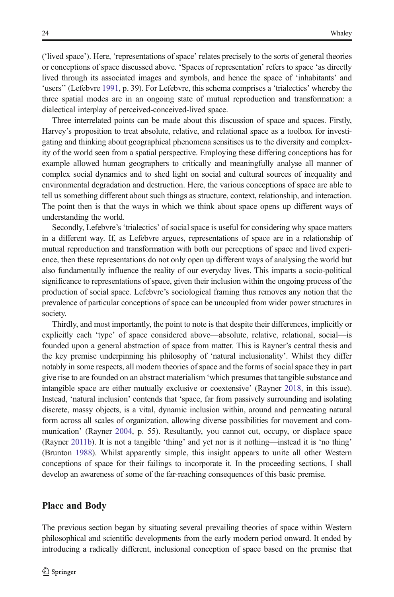<span id="page-3-0"></span>('lived space'). Here, 'representations of space' relates precisely to the sorts of general theories or conceptions of space discussed above. 'Spaces of representation' refers to space 'as directly lived through its associated images and symbols, and hence the space of 'inhabitants' and 'users'' (Lefebvre [1991](#page-15-0), p. 39). For Lefebvre, this schema comprises a 'trialectics' whereby the three spatial modes are in an ongoing state of mutual reproduction and transformation: a dialectical interplay of perceived-conceived-lived space.

Three interrelated points can be made about this discussion of space and spaces. Firstly, Harvey's proposition to treat absolute, relative, and relational space as a toolbox for investigating and thinking about geographical phenomena sensitises us to the diversity and complexity of the world seen from a spatial perspective. Employing these differing conceptions has for example allowed human geographers to critically and meaningfully analyse all manner of complex social dynamics and to shed light on social and cultural sources of inequality and environmental degradation and destruction. Here, the various conceptions of space are able to tell us something different about such things as structure, context, relationship, and interaction. The point then is that the ways in which we think about space opens up different ways of understanding the world.

Secondly, Lefebvre's 'trialectics' of social space is useful for considering why space matters in a different way. If, as Lefebvre argues, representations of space are in a relationship of mutual reproduction and transformation with both our perceptions of space and lived experience, then these representations do not only open up different ways of analysing the world but also fundamentally influence the reality of our everyday lives. This imparts a socio-political significance to representations of space, given their inclusion within the ongoing process of the production of social space. Lefebvre's sociological framing thus removes any notion that the prevalence of particular conceptions of space can be uncoupled from wider power structures in society.

Thirdly, and most importantly, the point to note is that despite their differences, implicitly or explicitly each 'type' of space considered above—absolute, relative, relational, social—is founded upon a general abstraction of space from matter. This is Rayner's central thesis and the key premise underpinning his philosophy of 'natural inclusionality'. Whilst they differ notably in some respects, all modern theories of space and the forms of social space they in part give rise to are founded on an abstract materialism 'which presumes that tangible substance and intangible space are either mutually exclusive or coextensive' (Rayner [2018,](#page-15-0) in this issue). Instead, 'natural inclusion' contends that 'space, far from passively surrounding and isolating discrete, massy objects, is a vital, dynamic inclusion within, around and permeating natural form across all scales of organization, allowing diverse possibilities for movement and communication' (Rayner [2004](#page-15-0), p. 55). Resultantly, you cannot cut, occupy, or displace space (Rayner [2011b](#page-15-0)). It is not a tangible 'thing' and yet nor is it nothing—instead it is 'no thing' (Brunton [1988\)](#page-14-0). Whilst apparently simple, this insight appears to unite all other Western conceptions of space for their failings to incorporate it. In the proceeding sections, I shall develop an awareness of some of the far-reaching consequences of this basic premise.

## Place and Body

The previous section began by situating several prevailing theories of space within Western philosophical and scientific developments from the early modern period onward. It ended by introducing a radically different, inclusional conception of space based on the premise that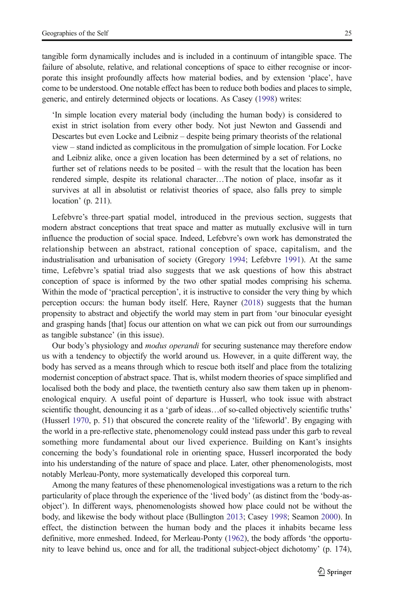tangible form dynamically includes and is included in a continuum of intangible space. The failure of absolute, relative, and relational conceptions of space to either recognise or incorporate this insight profoundly affects how material bodies, and by extension 'place', have come to be understood. One notable effect has been to reduce both bodies and places to simple, generic, and entirely determined objects or locations. As Casey ([1998](#page-14-0)) writes:

'In simple location every material body (including the human body) is considered to exist in strict isolation from every other body. Not just Newton and Gassendi and Descartes but even Locke and Leibniz – despite being primary theorists of the relational view – stand indicted as complicitous in the promulgation of simple location. For Locke and Leibniz alike, once a given location has been determined by a set of relations, no further set of relations needs to be posited – with the result that the location has been rendered simple, despite its relational character…The notion of place, insofar as it survives at all in absolutist or relativist theories of space, also falls prey to simple location' (p. 211).

Lefebvre's three-part spatial model, introduced in the previous section, suggests that modern abstract conceptions that treat space and matter as mutually exclusive will in turn influence the production of social space. Indeed, Lefebvre's own work has demonstrated the relationship between an abstract, rational conception of space, capitalism, and the industrialisation and urbanisation of society (Gregory [1994;](#page-14-0) Lefebvre [1991\)](#page-15-0). At the same time, Lefebvre's spatial triad also suggests that we ask questions of how this abstract conception of space is informed by the two other spatial modes comprising his schema. Within the mode of 'practical perception', it is instructive to consider the very thing by which perception occurs: the human body itself. Here, Rayner [\(2018\)](#page-15-0) suggests that the human propensity to abstract and objectify the world may stem in part from 'our binocular eyesight and grasping hands [that] focus our attention on what we can pick out from our surroundings as tangible substance' (in this issue).

Our body's physiology and *modus operandi* for securing sustenance may therefore endow us with a tendency to objectify the world around us. However, in a quite different way, the body has served as a means through which to rescue both itself and place from the totalizing modernist conception of abstract space. That is, whilst modern theories of space simplified and localised both the body and place, the twentieth century also saw them taken up in phenomenological enquiry. A useful point of departure is Husserl, who took issue with abstract scientific thought, denouncing it as a 'garb of ideas…of so-called objectively scientific truths' (Husserl [1970](#page-14-0), p. 51) that obscured the concrete reality of the 'lifeworld'. By engaging with the world in a pre-reflective state, phenomenology could instead pass under this garb to reveal something more fundamental about our lived experience. Building on Kant's insights concerning the body's foundational role in orienting space, Husserl incorporated the body into his understanding of the nature of space and place. Later, other phenomenologists, most notably Merleau-Ponty, more systematically developed this corporeal turn.

Among the many features of these phenomenological investigations was a return to the rich particularity of place through the experience of the 'lived body' (as distinct from the 'body-asobject'). In different ways, phenomenologists showed how place could not be without the body, and likewise the body without place (Bullington [2013](#page-14-0); Casey [1998](#page-14-0); Seamon [2000\)](#page-15-0). In effect, the distinction between the human body and the places it inhabits became less definitive, more enmeshed. Indeed, for Merleau-Ponty [\(1962](#page-15-0)), the body affords 'the opportunity to leave behind us, once and for all, the traditional subject-object dichotomy' (p. 174),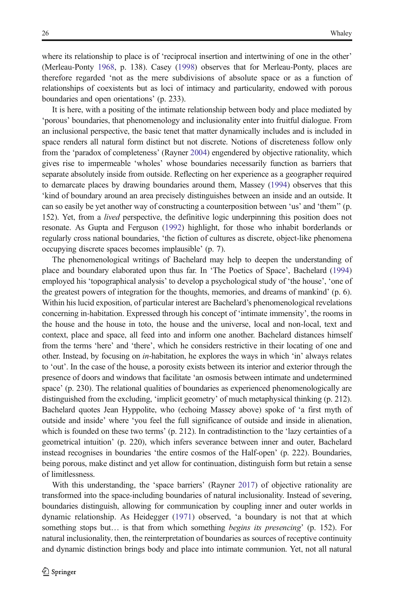where its relationship to place is of 'reciprocal insertion and intertwining of one in the other' (Merleau-Ponty [1968,](#page-15-0) p. 138). Casey [\(1998](#page-14-0)) observes that for Merleau-Ponty, places are therefore regarded 'not as the mere subdivisions of absolute space or as a function of relationships of coexistents but as loci of intimacy and particularity, endowed with porous boundaries and open orientations' (p. 233).

It is here, with a positing of the intimate relationship between body and place mediated by 'porous' boundaries, that phenomenology and inclusionality enter into fruitful dialogue. From an inclusional perspective, the basic tenet that matter dynamically includes and is included in space renders all natural form distinct but not discrete. Notions of discreteness follow only from the 'paradox of completeness' (Rayner [2004\)](#page-15-0) engendered by objective rationality, which gives rise to impermeable 'wholes' whose boundaries necessarily function as barriers that separate absolutely inside from outside. Reflecting on her experience as a geographer required to demarcate places by drawing boundaries around them, Massey [\(1994](#page-15-0)) observes that this 'kind of boundary around an area precisely distinguishes between an inside and an outside. It can so easily be yet another way of constructing a counterposition between 'us' and 'them'' (p. 152). Yet, from a lived perspective, the definitive logic underpinning this position does not resonate. As Gupta and Ferguson ([1992](#page-14-0)) highlight, for those who inhabit borderlands or regularly cross national boundaries, 'the fiction of cultures as discrete, object-like phenomena occupying discrete spaces becomes implausible' (p. 7).

The phenomenological writings of Bachelard may help to deepen the understanding of place and boundary elaborated upon thus far. In 'The Poetics of Space', Bachelard [\(1994\)](#page-14-0) employed his 'topographical analysis' to develop a psychological study of 'the house', 'one of the greatest powers of integration for the thoughts, memories, and dreams of mankind' (p. 6). Within his lucid exposition, of particular interest are Bachelard's phenomenological revelations concerning in-habitation. Expressed through his concept of 'intimate immensity', the rooms in the house and the house in toto, the house and the universe, local and non-local, text and context, place and space, all feed into and inform one another. Bachelard distances himself from the terms 'here' and 'there', which he considers restrictive in their locating of one and other. Instead, by focusing on in-habitation, he explores the ways in which 'in' always relates to 'out'. In the case of the house, a porosity exists between its interior and exterior through the presence of doors and windows that facilitate 'an osmosis between intimate and undetermined space' (p. 230). The relational qualities of boundaries as experienced phenomenologically are distinguished from the excluding, 'implicit geometry' of much metaphysical thinking (p. 212). Bachelard quotes Jean Hyppolite, who (echoing Massey above) spoke of 'a first myth of outside and inside' where 'you feel the full significance of outside and inside in alienation, which is founded on these two terms' (p. 212). In contradistinction to the 'lazy certainties of a geometrical intuition' (p. 220), which infers severance between inner and outer, Bachelard instead recognises in boundaries 'the entire cosmos of the Half-open' (p. 222). Boundaries, being porous, make distinct and yet allow for continuation, distinguish form but retain a sense of limitlessness.

With this understanding, the 'space barriers' (Rayner [2017](#page-15-0)) of objective rationality are transformed into the space-including boundaries of natural inclusionality. Instead of severing, boundaries distinguish, allowing for communication by coupling inner and outer worlds in dynamic relationship. As Heidegger [\(1971](#page-14-0)) observed, 'a boundary is not that at which something stops but... is that from which something *begins its presencing'* (p. 152). For natural inclusionality, then, the reinterpretation of boundaries as sources of receptive continuity and dynamic distinction brings body and place into intimate communion. Yet, not all natural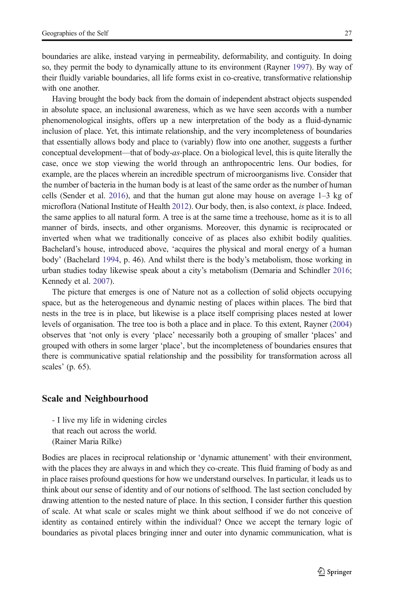<span id="page-6-0"></span>boundaries are alike, instead varying in permeability, deformability, and contiguity. In doing so, they permit the body to dynamically attune to its environment (Rayner [1997\)](#page-15-0). By way of their fluidly variable boundaries, all life forms exist in co-creative, transformative relationship with one another.

Having brought the body back from the domain of independent abstract objects suspended in absolute space, an inclusional awareness, which as we have seen accords with a number phenomenological insights, offers up a new interpretation of the body as a fluid-dynamic inclusion of place. Yet, this intimate relationship, and the very incompleteness of boundaries that essentially allows body and place to (variably) flow into one another, suggests a further conceptual development—that of body-as-place. On a biological level, this is quite literally the case, once we stop viewing the world through an anthropocentric lens. Our bodies, for example, are the places wherein an incredible spectrum of microorganisms live. Consider that the number of bacteria in the human body is at least of the same order as the number of human cells (Sender et al. [2016\)](#page-15-0), and that the human gut alone may house on average 1–3 kg of microflora (National Institute of Health [2012\)](#page-15-0). Our body, then, is also context, is place. Indeed, the same applies to all natural form. A tree is at the same time a treehouse, home as it is to all manner of birds, insects, and other organisms. Moreover, this dynamic is reciprocated or inverted when what we traditionally conceive of as places also exhibit bodily qualities. Bachelard's house, introduced above, 'acquires the physical and moral energy of a human body' (Bachelard [1994,](#page-14-0) p. 46). And whilst there is the body's metabolism, those working in urban studies today likewise speak about a city's metabolism (Demaria and Schindler [2016](#page-14-0); Kennedy et al. [2007](#page-14-0)).

The picture that emerges is one of Nature not as a collection of solid objects occupying space, but as the heterogeneous and dynamic nesting of places within places. The bird that nests in the tree is in place, but likewise is a place itself comprising places nested at lower levels of organisation. The tree too is both a place and in place. To this extent, Rayner [\(2004\)](#page-15-0) observes that 'not only is every 'place' necessarily both a grouping of smaller 'places' and grouped with others in some larger 'place', but the incompleteness of boundaries ensures that there is communicative spatial relationship and the possibility for transformation across all scales' (p. 65).

### Scale and Neighbourhood

- I live my life in widening circles that reach out across the world. (Rainer Maria Rilke)

Bodies are places in reciprocal relationship or 'dynamic attunement' with their environment, with the places they are always in and which they co-create. This fluid framing of body as and in place raises profound questions for how we understand ourselves. In particular, it leads us to think about our sense of identity and of our notions of selfhood. The last section concluded by drawing attention to the nested nature of place. In this section, I consider further this question of scale. At what scale or scales might we think about selfhood if we do not conceive of identity as contained entirely within the individual? Once we accept the ternary logic of boundaries as pivotal places bringing inner and outer into dynamic communication, what is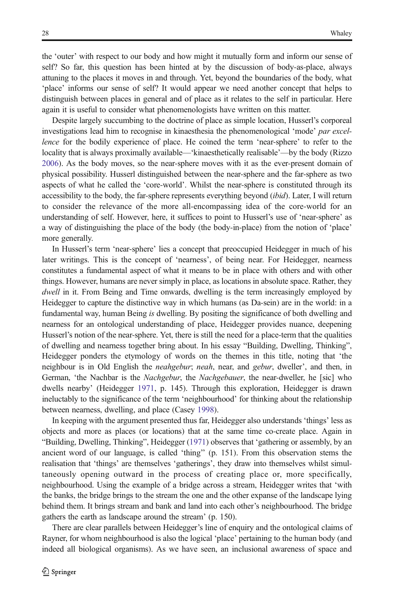the 'outer' with respect to our body and how might it mutually form and inform our sense of self? So far, this question has been hinted at by the discussion of body-as-place, always attuning to the places it moves in and through. Yet, beyond the boundaries of the body, what 'place' informs our sense of self? It would appear we need another concept that helps to distinguish between places in general and of place as it relates to the self in particular. Here again it is useful to consider what phenomenologists have written on this matter.

Despite largely succumbing to the doctrine of place as simple location, Husserl's corporeal investigations lead him to recognise in kinaesthesia the phenomenological 'mode' par excellence for the bodily experience of place. He coined the term 'near-sphere' to refer to the locality that is always proximally available—'kinaesthetically realisable'—by the body (Rizzo [2006](#page-15-0)). As the body moves, so the near-sphere moves with it as the ever-present domain of physical possibility. Husserl distinguished between the near-sphere and the far-sphere as two aspects of what he called the 'core-world'. Whilst the near-sphere is constituted through its accessibility to the body, the far-sphere represents everything beyond (ibid). Later, I will return to consider the relevance of the more all-encompassing idea of the core-world for an understanding of self. However, here, it suffices to point to Husserl's use of 'near-sphere' as a way of distinguishing the place of the body (the body-in-place) from the notion of 'place' more generally.

In Husserl's term 'near-sphere' lies a concept that preoccupied Heidegger in much of his later writings. This is the concept of 'nearness', of being near. For Heidegger, nearness constitutes a fundamental aspect of what it means to be in place with others and with other things. However, humans are never simply in place, as locations in absolute space. Rather, they dwell in it. From Being and Time onwards, dwelling is the term increasingly employed by Heidegger to capture the distinctive way in which humans (as Da-sein) are in the world: in a fundamental way, human Being is dwelling. By positing the significance of both dwelling and nearness for an ontological understanding of place, Heidegger provides nuance, deepening Husserl's notion of the near-sphere. Yet, there is still the need for a place-term that the qualities of dwelling and nearness together bring about. In his essay "Building, Dwelling, Thinking", Heidegger ponders the etymology of words on the themes in this title, noting that 'the neighbour is in Old English the *neahgebur*; *neah*, near, and *gebur*, dweller', and then, in German, 'the Nachbar is the *Nachgebur*, the *Nachgebauer*, the near-dweller, he [sic] who dwells nearby' (Heidegger [1971](#page-14-0), p. 145). Through this exploration, Heidegger is drawn ineluctably to the significance of the term 'neighbourhood' for thinking about the relationship between nearness, dwelling, and place (Casey [1998\)](#page-14-0).

In keeping with the argument presented thus far, Heidegger also understands 'things' less as objects and more as places (or locations) that at the same time co-create place. Again in "Building, Dwelling, Thinking", Heidegger [\(1971\)](#page-14-0) observes that 'gathering or assembly, by an ancient word of our language, is called 'thing'' (p. 151). From this observation stems the realisation that 'things' are themselves 'gatherings', they draw into themselves whilst simultaneously opening outward in the process of creating place or, more specifically, neighbourhood. Using the example of a bridge across a stream, Heidegger writes that 'with the banks, the bridge brings to the stream the one and the other expanse of the landscape lying behind them. It brings stream and bank and land into each other's neighbourhood. The bridge gathers the earth as landscape around the stream' (p. 150).

There are clear parallels between Heidegger's line of enquiry and the ontological claims of Rayner, for whom neighbourhood is also the logical 'place' pertaining to the human body (and indeed all biological organisms). As we have seen, an inclusional awareness of space and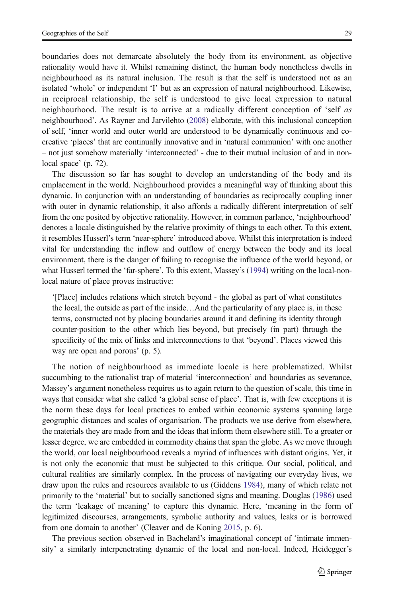boundaries does not demarcate absolutely the body from its environment, as objective rationality would have it. Whilst remaining distinct, the human body nonetheless dwells in neighbourhood as its natural inclusion. The result is that the self is understood not as an isolated 'whole' or independent 'I' but as an expression of natural neighbourhood. Likewise, in reciprocal relationship, the self is understood to give local expression to natural neighbourhood. The result is to arrive at a radically different conception of 'self as neighbourhood'. As Rayner and Jarvilehto [\(2008\)](#page-15-0) elaborate, with this inclusional conception of self, 'inner world and outer world are understood to be dynamically continuous and cocreative 'places' that are continually innovative and in 'natural communion' with one another – not just somehow materially 'interconnected' - due to their mutual inclusion of and in nonlocal space' (p. 72).

The discussion so far has sought to develop an understanding of the body and its emplacement in the world. Neighbourhood provides a meaningful way of thinking about this dynamic. In conjunction with an understanding of boundaries as reciprocally coupling inner with outer in dynamic relationship, it also affords a radically different interpretation of self from the one posited by objective rationality. However, in common parlance, 'neighbourhood' denotes a locale distinguished by the relative proximity of things to each other. To this extent, it resembles Husserl's term 'near-sphere' introduced above. Whilst this interpretation is indeed vital for understanding the inflow and outflow of energy between the body and its local environment, there is the danger of failing to recognise the influence of the world beyond, or what Husserl termed the 'far-sphere'. To this extent, Massey's [\(1994\)](#page-15-0) writing on the local-nonlocal nature of place proves instructive:

'[Place] includes relations which stretch beyond - the global as part of what constitutes the local, the outside as part of the inside…And the particularity of any place is, in these terms, constructed not by placing boundaries around it and defining its identity through counter-position to the other which lies beyond, but precisely (in part) through the specificity of the mix of links and interconnections to that 'beyond'. Places viewed this way are open and porous' (p. 5).

The notion of neighbourhood as immediate locale is here problematized. Whilst succumbing to the rationalist trap of material 'interconnection' and boundaries as severance, Massey's argument nonetheless requires us to again return to the question of scale, this time in ways that consider what she called 'a global sense of place'. That is, with few exceptions it is the norm these days for local practices to embed within economic systems spanning large geographic distances and scales of organisation. The products we use derive from elsewhere, the materials they are made from and the ideas that inform them elsewhere still. To a greater or lesser degree, we are embedded in commodity chains that span the globe. As we move through the world, our local neighbourhood reveals a myriad of influences with distant origins. Yet, it is not only the economic that must be subjected to this critique. Our social, political, and cultural realities are similarly complex. In the process of navigating our everyday lives, we draw upon the rules and resources available to us (Giddens [1984](#page-14-0)), many of which relate not primarily to the 'material' but to socially sanctioned signs and meaning. Douglas ([1986](#page-14-0)) used the term 'leakage of meaning' to capture this dynamic. Here, 'meaning in the form of legitimized discourses, arrangements, symbolic authority and values, leaks or is borrowed from one domain to another' (Cleaver and de Koning [2015](#page-14-0), p. 6).

The previous section observed in Bachelard's imaginational concept of 'intimate immensity' a similarly interpenetrating dynamic of the local and non-local. Indeed, Heidegger's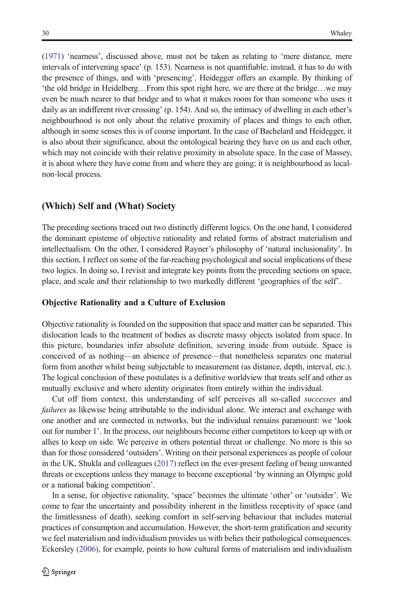([1971](#page-14-0)) 'nearness', discussed above, must not be taken as relating to 'mere distance, mere intervals of intervening space' (p. 153). Nearness is not quantifiable; instead, it has to do with the presence of things, and with 'presencing'. Heidegger offers an example. By thinking of 'the old bridge in Heidelberg…From this spot right here, we are there at the bridge…we may even be much nearer to that bridge and to what it makes room for than someone who uses it daily as an indifferent river crossing' (p. 154). And so, the intimacy of dwelling in each other's neighbourhood is not only about the relative proximity of places and things to each other, although in some senses this is of course important. In the case of Bachelard and Heidegger, it is also about their significance, about the ontological bearing they have on us and each other, which may not coincide with their relative proximity in absolute space. In the case of Massey, it is about where they have come from and where they are going; it is neighbourhood as localnon-local process.

## (Which) Self and (What) Society

The preceding sections traced out two distinctly different logics. On the one hand, I considered the dominant episteme of objective rationality and related forms of abstract materialism and intellectualism. On the other, I considered Rayner's philosophy of 'natural inclusionality'. In this section, I reflect on some of the far-reaching psychological and social implications of these two logics. In doing so, I revisit and integrate key points from the preceding sections on space, place, and scale and their relationship to two markedly different 'geographies of the self'.

#### Objective Rationality and a Culture of Exclusion

Objective rationality is founded on the supposition that space and matter can be separated. This dislocation leads to the treatment of bodies as discrete massy objects isolated from space. In this picture, boundaries infer absolute definition, severing inside from outside. Space is conceived of as nothing—an absence of presence—that nonetheless separates one material form from another whilst being subjectable to measurement (as distance, depth, interval, etc.). The logical conclusion of these postulates is a definitive worldview that treats self and other as mutually exclusive and where identity originates from entirely within the individual.

Cut off from context, this understanding of self perceives all so-called successes and failures as likewise being attributable to the individual alone. We interact and exchange with one another and are connected in networks, but the individual remains paramount: we 'look out for number 1'. In the process, our neighbours become either competitors to keep up with or allies to keep on side. We perceive in others potential threat or challenge. No more is this so than for those considered 'outsiders'. Writing on their personal experiences as people of colour in the UK, Shukla and colleagues [\(2017\)](#page-15-0) reflect on the ever-present feeling of being unwanted threats or exceptions unless they manage to become exceptional 'by winning an Olympic gold or a national baking competition'.

In a sense, for objective rationality, 'space' becomes the ultimate 'other' or 'outsider'. We come to fear the uncertainty and possibility inherent in the limitless receptivity of space (and the limitlessness of death), seeking comfort in self-serving behaviour that includes material practices of consumption and accumulation. However, the short-term gratification and security we feel materialism and individualism provides us with belies their pathological consequences. Eckersley [\(2006\)](#page-14-0), for example, points to how cultural forms of materialism and individualism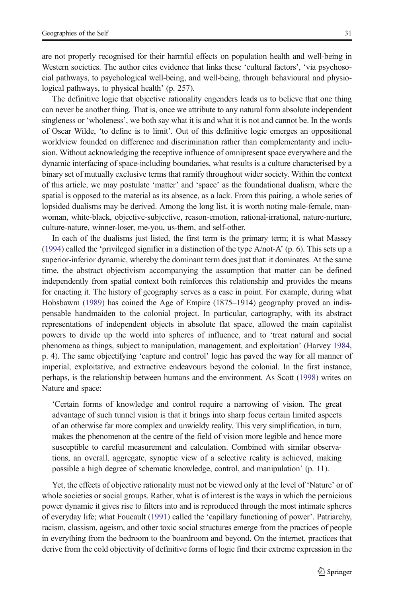are not properly recognised for their harmful effects on population health and well-being in Western societies. The author cites evidence that links these 'cultural factors', 'via psychosocial pathways, to psychological well-being, and well-being, through behavioural and physiological pathways, to physical health' (p. 257).

The definitive logic that objective rationality engenders leads us to believe that one thing can never be another thing. That is, once we attribute to any natural form absolute independent singleness or 'wholeness', we both say what it is and what it is not and cannot be. In the words of Oscar Wilde, 'to define is to limit'. Out of this definitive logic emerges an oppositional worldview founded on difference and discrimination rather than complementarity and inclusion. Without acknowledging the receptive influence of omnipresent space everywhere and the dynamic interfacing of space-including boundaries, what results is a culture characterised by a binary set of mutually exclusive terms that ramify throughout wider society. Within the context of this article, we may postulate 'matter' and 'space' as the foundational dualism, where the spatial is opposed to the material as its absence, as a lack. From this pairing, a whole series of lopsided dualisms may be derived. Among the long list, it is worth noting male-female, manwoman, white-black, objective-subjective, reason-emotion, rational-irrational, nature-nurture, culture-nature, winner-loser, me-you, us-them, and self-other.

In each of the dualisms just listed, the first term is the primary term; it is what Massey ([1994](#page-15-0)) called the 'privileged signifier in a distinction of the type A/not-A' (p. 6). This sets up a superior-inferior dynamic, whereby the dominant term does just that: it dominates. At the same time, the abstract objectivism accompanying the assumption that matter can be defined independently from spatial context both reinforces this relationship and provides the means for enacting it. The history of geography serves as a case in point. For example, during what Hobsbawm [\(1989\)](#page-14-0) has coined the Age of Empire (1875–1914) geography proved an indispensable handmaiden to the colonial project. In particular, cartography, with its abstract representations of independent objects in absolute flat space, allowed the main capitalist powers to divide up the world into spheres of influence, and to 'treat natural and social phenomena as things, subject to manipulation, management, and exploitation' (Harvey [1984](#page-14-0), p. 4). The same objectifying 'capture and control' logic has paved the way for all manner of imperial, exploitative, and extractive endeavours beyond the colonial. In the first instance, perhaps, is the relationship between humans and the environment. As Scott ([1998](#page-15-0)) writes on Nature and space:

'Certain forms of knowledge and control require a narrowing of vision. The great advantage of such tunnel vision is that it brings into sharp focus certain limited aspects of an otherwise far more complex and unwieldy reality. This very simplification, in turn, makes the phenomenon at the centre of the field of vision more legible and hence more susceptible to careful measurement and calculation. Combined with similar observations, an overall, aggregate, synoptic view of a selective reality is achieved, making possible a high degree of schematic knowledge, control, and manipulation' (p. 11).

Yet, the effects of objective rationality must not be viewed only at the level of 'Nature' or of whole societies or social groups. Rather, what is of interest is the ways in which the pernicious power dynamic it gives rise to filters into and is reproduced through the most intimate spheres of everyday life; what Foucault [\(1991\)](#page-14-0) called the 'capillary functioning of power'. Patriarchy, racism, classism, ageism, and other toxic social structures emerge from the practices of people in everything from the bedroom to the boardroom and beyond. On the internet, practices that derive from the cold objectivity of definitive forms of logic find their extreme expression in the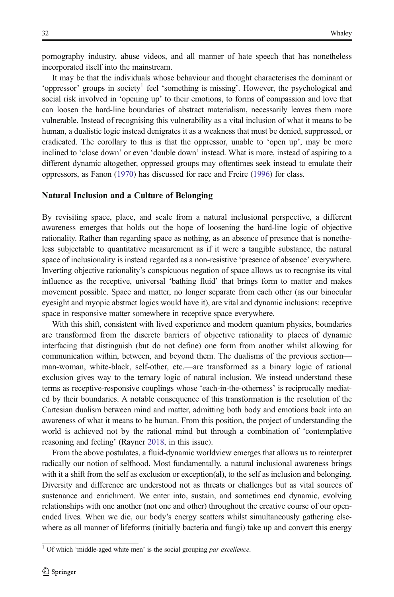pornography industry, abuse videos, and all manner of hate speech that has nonetheless incorporated itself into the mainstream.

It may be that the individuals whose behaviour and thought characterises the dominant or 'oppressor' groups in society<sup>1</sup> feel 'something is missing'. However, the psychological and social risk involved in 'opening up' to their emotions, to forms of compassion and love that can loosen the hard-line boundaries of abstract materialism, necessarily leaves them more vulnerable. Instead of recognising this vulnerability as a vital inclusion of what it means to be human, a dualistic logic instead denigrates it as a weakness that must be denied, suppressed, or eradicated. The corollary to this is that the oppressor, unable to 'open up', may be more inclined to 'close down' or even 'double down' instead. What is more, instead of aspiring to a different dynamic altogether, oppressed groups may oftentimes seek instead to emulate their oppressors, as Fanon [\(1970\)](#page-14-0) has discussed for race and Freire [\(1996\)](#page-14-0) for class.

#### Natural Inclusion and a Culture of Belonging

By revisiting space, place, and scale from a natural inclusional perspective, a different awareness emerges that holds out the hope of loosening the hard-line logic of objective rationality. Rather than regarding space as nothing, as an absence of presence that is nonetheless subjectable to quantitative measurement as if it were a tangible substance, the natural space of inclusionality is instead regarded as a non-resistive 'presence of absence' everywhere. Inverting objective rationality's conspicuous negation of space allows us to recognise its vital influence as the receptive, universal 'bathing fluid' that brings form to matter and makes movement possible. Space and matter, no longer separate from each other (as our binocular eyesight and myopic abstract logics would have it), are vital and dynamic inclusions: receptive space in responsive matter somewhere in receptive space everywhere.

With this shift, consistent with lived experience and modern quantum physics, boundaries are transformed from the discrete barriers of objective rationality to places of dynamic interfacing that distinguish (but do not define) one form from another whilst allowing for communication within, between, and beyond them. The dualisms of the previous section man-woman, white-black, self-other, etc.—are transformed as a binary logic of rational exclusion gives way to the ternary logic of natural inclusion. We instead understand these terms as receptive-responsive couplings whose 'each-in-the-otherness' is reciprocally mediated by their boundaries. A notable consequence of this transformation is the resolution of the Cartesian dualism between mind and matter, admitting both body and emotions back into an awareness of what it means to be human. From this position, the project of understanding the world is achieved not by the rational mind but through a combination of 'contemplative reasoning and feeling' (Rayner [2018](#page-15-0), in this issue).

From the above postulates, a fluid-dynamic worldview emerges that allows us to reinterpret radically our notion of selfhood. Most fundamentally, a natural inclusional awareness brings with it a shift from the self as exclusion or exception(al), to the self as inclusion and belonging. Diversity and difference are understood not as threats or challenges but as vital sources of sustenance and enrichment. We enter into, sustain, and sometimes end dynamic, evolving relationships with one another (not one and other) throughout the creative course of our openended lives. When we die, our body's energy scatters whilst simultaneously gathering elsewhere as all manner of lifeforms (initially bacteria and fungi) take up and convert this energy

 $\frac{1}{1}$  Of which 'middle-aged white men' is the social grouping par excellence.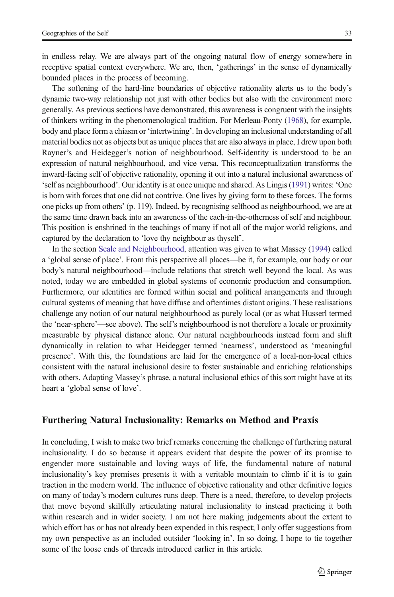in endless relay. We are always part of the ongoing natural flow of energy somewhere in receptive spatial context everywhere. We are, then, 'gatherings' in the sense of dynamically bounded places in the process of becoming.

The softening of the hard-line boundaries of objective rationality alerts us to the body's dynamic two-way relationship not just with other bodies but also with the environment more generally. As previous sections have demonstrated, this awareness is congruent with the insights of thinkers writing in the phenomenological tradition. For Merleau-Ponty [\(1968\)](#page-15-0), for example, body and place form a chiasm or 'intertwining'. In developing an inclusional understanding of all material bodies not as objects but as unique places that are also always in place, I drew upon both Rayner's and Heidegger's notion of neighbourhood. Self-identity is understood to be an expression of natural neighbourhood, and vice versa. This reconceptualization transforms the inward-facing self of objective rationality, opening it out into a natural inclusional awareness of 'self as neighbourhood'. Our identity is at once unique and shared. As Lingis [\(1991](#page-15-0)) writes: 'One is born with forces that one did not contrive. One lives by giving form to these forces. The forms one picks up from others' (p. 119). Indeed, by recognising selfhood as neighbourhood, we are at the same time drawn back into an awareness of the each-in-the-otherness of self and neighbour. This position is enshrined in the teachings of many if not all of the major world religions, and captured by the declaration to 'love thy neighbour as thyself'.

In the section [Scale and Neighbourhood](#page-6-0), attention was given to what Massey [\(1994](#page-15-0)) called a 'global sense of place'. From this perspective all places—be it, for example, our body or our body's natural neighbourhood—include relations that stretch well beyond the local. As was noted, today we are embedded in global systems of economic production and consumption. Furthermore, our identities are formed within social and political arrangements and through cultural systems of meaning that have diffuse and oftentimes distant origins. These realisations challenge any notion of our natural neighbourhood as purely local (or as what Husserl termed the 'near-sphere'—see above). The self's neighbourhood is not therefore a locale or proximity measurable by physical distance alone. Our natural neighbourhoods instead form and shift dynamically in relation to what Heidegger termed 'nearness', understood as 'meaningful presence'. With this, the foundations are laid for the emergence of a local-non-local ethics consistent with the natural inclusional desire to foster sustainable and enriching relationships with others. Adapting Massey's phrase, a natural inclusional ethics of this sort might have at its heart a 'global sense of love'.

## Furthering Natural Inclusionality: Remarks on Method and Praxis

In concluding, I wish to make two brief remarks concerning the challenge of furthering natural inclusionality. I do so because it appears evident that despite the power of its promise to engender more sustainable and loving ways of life, the fundamental nature of natural inclusionality's key premises presents it with a veritable mountain to climb if it is to gain traction in the modern world. The influence of objective rationality and other definitive logics on many of today's modern cultures runs deep. There is a need, therefore, to develop projects that move beyond skilfully articulating natural inclusionality to instead practicing it both within research and in wider society. I am not here making judgements about the extent to which effort has or has not already been expended in this respect; I only offer suggestions from my own perspective as an included outsider 'looking in'. In so doing, I hope to tie together some of the loose ends of threads introduced earlier in this article.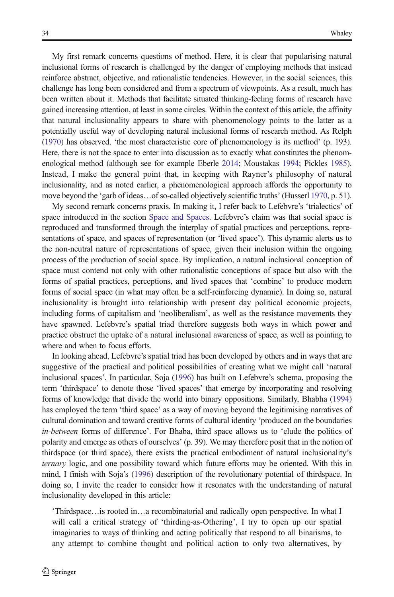My first remark concerns questions of method. Here, it is clear that popularising natural inclusional forms of research is challenged by the danger of employing methods that instead reinforce abstract, objective, and rationalistic tendencies. However, in the social sciences, this challenge has long been considered and from a spectrum of viewpoints. As a result, much has been written about it. Methods that facilitate situated thinking-feeling forms of research have gained increasing attention, at least in some circles. Within the context of this article, the affinity that natural inclusionality appears to share with phenomenology points to the latter as a potentially useful way of developing natural inclusional forms of research method. As Relph ([1970\)](#page-15-0) has observed, 'the most characteristic core of phenomenology is its method' (p. 193). Here, there is not the space to enter into discussion as to exactly what constitutes the phenomenological method (although see for example Eberle [2014;](#page-14-0) Moustakas [1994](#page-15-0); Pickles [1985](#page-15-0)). Instead, I make the general point that, in keeping with Rayner's philosophy of natural inclusionality, and as noted earlier, a phenomenological approach affords the opportunity to move beyond the 'garb of ideas…of so-called objectively scientific truths' (Husserl [1970](#page-14-0), p. 51).

My second remark concerns praxis. In making it, I refer back to Lefebvre's 'trialectics' of space introduced in the section [Space and Spaces](#page-1-0). Lefebvre's claim was that social space is reproduced and transformed through the interplay of spatial practices and perceptions, representations of space, and spaces of representation (or 'lived space'). This dynamic alerts us to the non-neutral nature of representations of space, given their inclusion within the ongoing process of the production of social space. By implication, a natural inclusional conception of space must contend not only with other rationalistic conceptions of space but also with the forms of spatial practices, perceptions, and lived spaces that 'combine' to produce modern forms of social space (in what may often be a self-reinforcing dynamic). In doing so, natural inclusionality is brought into relationship with present day political economic projects, including forms of capitalism and 'neoliberalism', as well as the resistance movements they have spawned. Lefebvre's spatial triad therefore suggests both ways in which power and practice obstruct the uptake of a natural inclusional awareness of space, as well as pointing to where and when to focus efforts.

In looking ahead, Lefebvre's spatial triad has been developed by others and in ways that are suggestive of the practical and political possibilities of creating what we might call 'natural inclusional spaces'. In particular, Soja ([1996](#page-15-0)) has built on Lefebvre's schema, proposing the term 'thirdspace' to denote those 'lived spaces' that emerge by incorporating and resolving forms of knowledge that divide the world into binary oppositions. Similarly, Bhabha [\(1994\)](#page-14-0) has employed the term 'third space' as a way of moving beyond the legitimising narratives of cultural domination and toward creative forms of cultural identity 'produced on the boundaries in-between forms of difference'. For Bhaba, third space allows us to 'elude the politics of polarity and emerge as others of ourselves' (p. 39). We may therefore posit that in the notion of thirdspace (or third space), there exists the practical embodiment of natural inclusionality's ternary logic, and one possibility toward which future efforts may be oriented. With this in mind, I finish with Soja's ([1996](#page-15-0)) description of the revolutionary potential of thirdspace. In doing so, I invite the reader to consider how it resonates with the understanding of natural inclusionality developed in this article:

'Thirdspace…is rooted in…a recombinatorial and radically open perspective. In what I will call a critical strategy of 'thirding-as-Othering', I try to open up our spatial imaginaries to ways of thinking and acting politically that respond to all binarisms, to any attempt to combine thought and political action to only two alternatives, by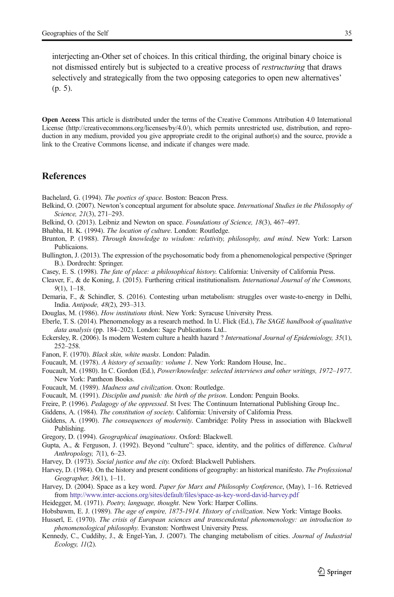<span id="page-14-0"></span>interjecting an-Other set of choices. In this critical thirding, the original binary choice is not dismissed entirely but is subjected to a creative process of restructuring that draws selectively and strategically from the two opposing categories to open new alternatives' (p. 5).

Open Access This article is distributed under the terms of the Creative Commons Attribution 4.0 International License (http://creativecommons.org/licenses/by/4.0/), which permits unrestricted use, distribution, and reproduction in any medium, provided you give appropriate credit to the original author(s) and the source, provide a link to the Creative Commons license, and indicate if changes were made.

### **References**

Bachelard, G. (1994). The poetics of space. Boston: Beacon Press.

- Belkind, O. (2007). Newton's conceptual argument for absolute space. International Studies in the Philosophy of Science, 21(3), 271–293.
- Belkind, O. (2013). Leibniz and Newton on space. Foundations of Science, 18(3), 467-497.
- Bhabha, H. K. (1994). The location of culture. London: Routledge.
- Brunton, P. (1988). Through knowledge to wisdom: relativity, philosophy, and mind. New York: Larson Publicaions.
- Bullington, J. (2013). The expression of the psychosomatic body from a phenomenological perspective (Springer B.). Dordrecht: Springer.

Casey, E. S. (1998). The fate of place: a philosophical history. California: University of California Press.

- Cleaver, F., & de Koning, J. (2015). Furthering critical institutionalism. International Journal of the Commons,  $9(1), 1-18.$
- Demaria, F., & Schindler, S. (2016). Contesting urban metabolism: struggles over waste-to-energy in Delhi, India. Antipode, 48(2), 293–313.
- Douglas, M. (1986). How institutions think. New York: Syracuse University Press.
- Eberle, T. S. (2014). Phenomenology as a research method. In U. Flick (Ed.), The SAGE handbook of qualitative data analysis (pp. 184–202). London: Sage Publications Ltd..
- Eckersley, R. (2006). Is modern Western culture a health hazard ? International Journal of Epidemiology, 35(1), 252–258.

Fanon, F. (1970). Black skin, white masks. London: Paladin.

Foucault, M. (1978). A history of sexuality: volume 1. New York: Random House, Inc..

Foucault, M. (1980). In C. Gordon (Ed.), Power/knowledge: selected interviews and other writings, 1972–1977. New York: Pantheon Books.

- Foucault, M. (1989). Madness and civilization. Oxon: Routledge.
- Foucault, M. (1991). Disciplin and punish: the birth of the prison. London: Penguin Books.
- Freire, P. (1996). Pedagogy of the oppressed. St Ives: The Continuum International Publishing Group Inc..
- Giddens, A. (1984). The constitution of society. California: University of California Press.

Giddens, A. (1990). The consequences of modernity. Cambridge: Polity Press in association with Blackwell Publishing.

Gregory, D. (1994). Geographical imaginations. Oxford: Blackwell.

- Gupta, A., & Ferguson, J. (1992). Beyond "culture": space, identity, and the politics of difference. Cultural Anthropology, 7(1), 6–23.
- Harvey, D. (1973). Social justice and the city. Oxford: Blackwell Publishers.
- Harvey, D. (1984). On the history and present conditions of geography: an historical manifesto. The Professional Geographer, 36(1), 1–11.
- Harvey, D. (2004). Space as a key word. Paper for Marx and Philosophy Conference, (May), 1-16. Retrieved from <http://www.inter-accions.org/sites/default/files/space-as-key-word-david-harvey.pdf>
- Heidegger, M. (1971). *Poetry, language, thought*. New York: Harper Collins.

Hobsbawm, E. J. (1989). The age of empire, 1875-1914. History of civilization. New York: Vintage Books.

- Husserl, E. (1970). The crisis of European sciences and transcendental phenomenology: an introduction to phenomenological philosophy. Evanston: Northwest University Press.
- Kennedy, C., Cuddihy, J., & Engel-Yan, J. (2007). The changing metabolism of cities. *Journal of Industrial* Ecology, 11(2).